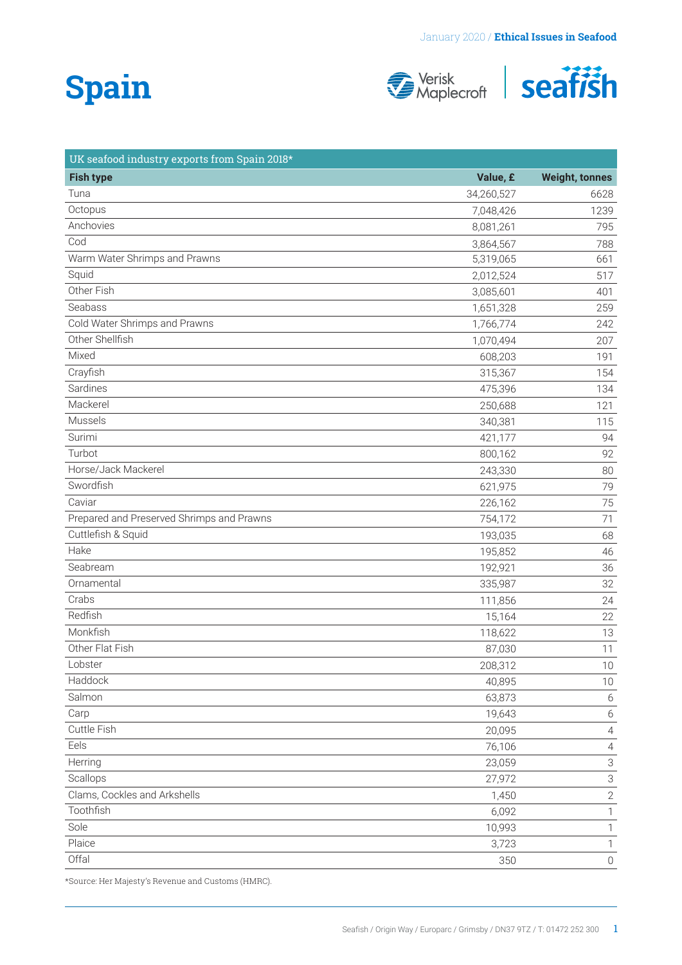# **Spain**





| UK seafood industry exports from Spain 2018* |            |                           |
|----------------------------------------------|------------|---------------------------|
| <b>Fish type</b>                             | Value, £   | <b>Weight, tonnes</b>     |
| Tuna                                         | 34,260,527 | 6628                      |
| Octopus                                      | 7,048,426  | 1239                      |
| Anchovies                                    | 8,081,261  | 795                       |
| Cod                                          | 3,864,567  | 788                       |
| Warm Water Shrimps and Prawns                | 5,319,065  | 661                       |
| Squid                                        | 2,012,524  | 517                       |
| Other Fish                                   | 3,085,601  | 401                       |
| Seabass                                      | 1,651,328  | 259                       |
| Cold Water Shrimps and Prawns                | 1,766,774  | 242                       |
| Other Shellfish                              | 1,070,494  | 207                       |
| Mixed                                        | 608,203    | 191                       |
| Crayfish                                     | 315,367    | 154                       |
| Sardines                                     | 475,396    | 134                       |
| Mackerel                                     | 250,688    | 121                       |
| Mussels                                      | 340,381    | 115                       |
| Surimi                                       | 421,177    | 94                        |
| Turbot                                       | 800,162    | 92                        |
| Horse/Jack Mackerel                          | 243,330    | 80                        |
| Swordfish                                    | 621,975    | 79                        |
| Caviar                                       | 226,162    | 75                        |
| Prepared and Preserved Shrimps and Prawns    | 754,172    | 71                        |
| Cuttlefish & Squid                           | 193,035    | 68                        |
| Hake                                         | 195,852    | 46                        |
| Seabream                                     | 192,921    | 36                        |
| Ornamental                                   | 335,987    | 32                        |
| Crabs                                        | 111,856    | 24                        |
| Redfish                                      | 15,164     | 22                        |
| Monkfish                                     | 118,622    | 13                        |
| Other Flat Fish                              | 87,030     | 11                        |
| Lobster                                      | 208,312    | 10                        |
| Haddock                                      | 40,895     | 10                        |
| Salmon                                       | 63,873     | 6                         |
| Carp                                         | 19,643     | $6\,$                     |
| Cuttle Fish                                  | 20,095     | $\sqrt{4}$                |
| Eels                                         | 76,106     | $\overline{4}$            |
| Herring                                      | 23,059     | $\ensuremath{\mathsf{3}}$ |
| Scallops                                     | 27,972     | $\ensuremath{\mathsf{3}}$ |
| Clams, Cockles and Arkshells                 | 1,450      | $\sqrt{2}$                |
| Toothfish                                    | 6,092      | 1                         |
| Sole                                         | 10,993     | 1                         |
| Plaice                                       | 3,723      | 1                         |
| Offal                                        | 350        | $\mathbb O$               |
|                                              |            |                           |

\*Source: Her Majesty's Revenue and Customs (HMRC).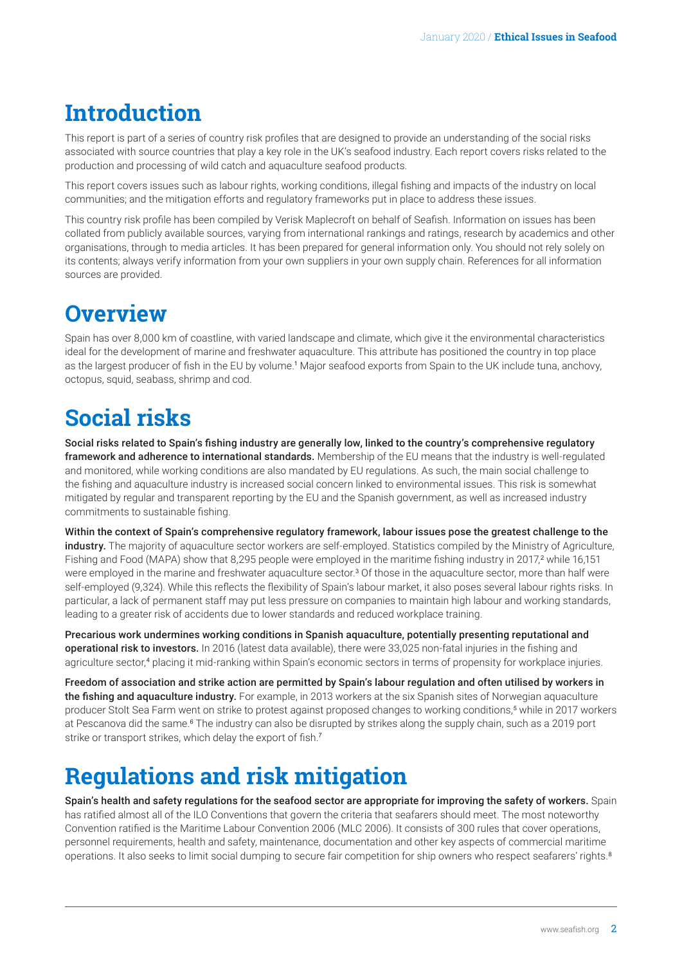### <span id="page-1-0"></span>**Introduction**

This report is part of a series of country risk profiles that are designed to provide an understanding of the social risks associated with source countries that play a key role in the UK's seafood industry. Each report covers risks related to the production and processing of wild catch and aquaculture seafood products.

This report covers issues such as labour rights, working conditions, illegal fishing and impacts of the industry on local communities; and the mitigation efforts and regulatory frameworks put in place to address these issues.

This country risk profile has been compiled by Verisk Maplecroft on behalf of Seafish. Information on issues has been collated from publicly available sources, varying from international rankings and ratings, research by academics and other organisations, through to media articles. It has been prepared for general information only. You should not rely solely on its contents; always verify information from your own suppliers in your own supply chain. References for all information sources are provided.

### **Overview**

Spain has over 8,000 km of coastline, with varied landscape and climate, which give it the environmental characteristics ideal for the development of marine and freshwater aquaculture. This attribute has positioned the country in top place as the largest producer of fish in the EU by volume.[1](#page-4-0) Major seafood exports from Spain to the UK include tuna, anchovy, octopus, squid, seabass, shrimp and cod.

### **Social risks**

Social risks related to Spain's fishing industry are generally low, linked to the country's comprehensive regulatory framework and adherence to international standards. Membership of the EU means that the industry is well-regulated and monitored, while working conditions are also mandated by EU regulations. As such, the main social challenge to the fishing and aquaculture industry is increased social concern linked to environmental issues. This risk is somewhat mitigated by regular and transparent reporting by the EU and the Spanish government, as well as increased industry commitments to sustainable fishing.

Within the context of Spain's comprehensive regulatory framework, labour issues pose the greatest challenge to the industry. The majority of aquaculture sector workers are self-employed. Statistics compiled by the Ministry of Agriculture, Fishing and Food (MAPA) show that 8,[2](#page-4-0)95 people were employed in the maritime fishing industry in 2017,<sup>2</sup> while 16,151 were employed in the marine and freshwater aquaculture sector.<sup>[3](#page-4-0)</sup> Of those in the aquaculture sector, more than half were self-employed (9,324). While this reflects the flexibility of Spain's labour market, it also poses several labour rights risks. In particular, a lack of permanent staff may put less pressure on companies to maintain high labour and working standards, leading to a greater risk of accidents due to lower standards and reduced workplace training.

Precarious work undermines working conditions in Spanish aquaculture, potentially presenting reputational and operational risk to investors. In 2016 (latest data available), there were 33,025 non-fatal injuries in the fishing and agriculture sector,<sup>[4](#page-4-0)</sup> placing it mid-ranking within Spain's economic sectors in terms of propensity for workplace injuries.

Freedom of association and strike action are permitted by Spain's labour regulation and often utilised by workers in the fishing and aquaculture industry. For example, in 2013 workers at the six Spanish sites of Norwegian aquaculture producer Stolt Sea Farm went on strike to protest against proposed changes to working conditions,<sup>[5](#page-4-0)</sup> while in 2017 workers at Pescanova did the same.<sup>[6](#page-4-0)</sup> The industry can also be disrupted by strikes along the supply chain, such as a 2019 port strike or transport strikes, which delay the export of fish.<sup>[7](#page-4-0)</sup>

### **Regulations and risk mitigation**

Spain's health and safety regulations for the seafood sector are appropriate for improving the safety of workers. Spain has ratified almost all of the ILO Conventions that govern the criteria that seafarers should meet. The most noteworthy Convention ratified is the Maritime Labour Convention 2006 (MLC 2006). It consists of 300 rules that cover operations, personnel requirements, health and safety, maintenance, documentation and other key aspects of commercial maritime operations. It also seeks to limit social dumping to secure fair competition for ship owners who respect seafarers' rights.[8](#page-4-0)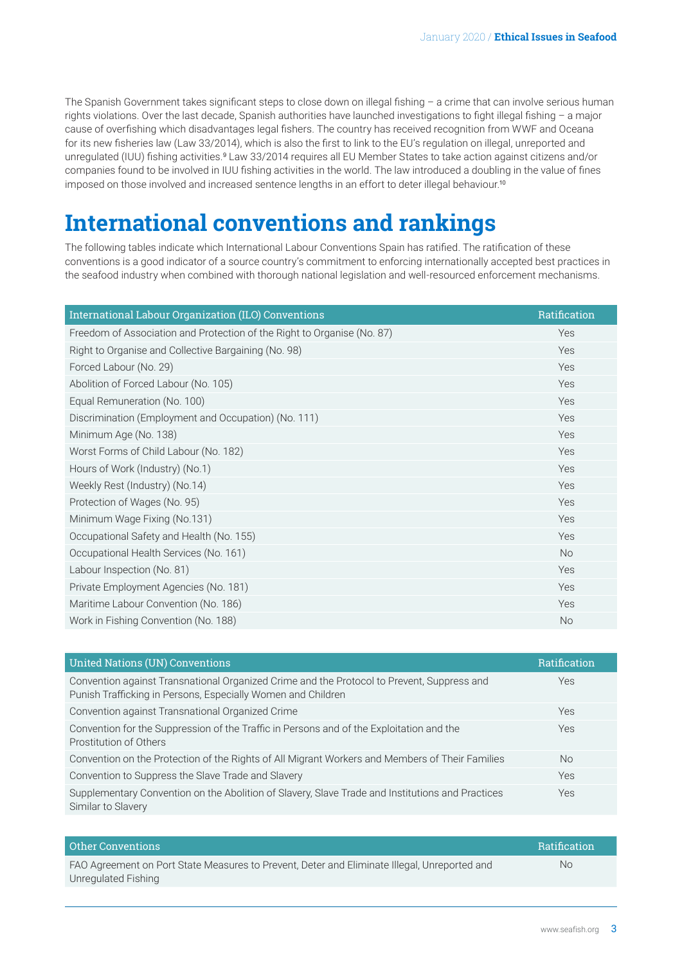<span id="page-2-0"></span>The Spanish Government takes significant steps to close down on illegal fishing – a crime that can involve serious human rights violations. Over the last decade, Spanish authorities have launched investigations to fight illegal fishing – a major cause of overfishing which disadvantages legal fishers. The country has received recognition from WWF and Oceana for its new fisheries law (Law 33/2014), which is also the first to link to the EU's regulation on illegal, unreported and unregulated (IUU) fishing activities.<sup>[9](#page-4-0)</sup> Law 33/2014 requires all EU Member States to take action against citizens and/or companies found to be involved in IUU fishing activities in the world. The law introduced a doubling in the value of fines imposed on those involved and increased sentence lengths in an effort to deter illegal behaviour.<sup>[10](#page-4-0)</sup>

### **International conventions and rankings**

The following tables indicate which International Labour Conventions Spain has ratified. The ratification of these conventions is a good indicator of a source country's commitment to enforcing internationally accepted best practices in the seafood industry when combined with thorough national legislation and well-resourced enforcement mechanisms.

| International Labour Organization (ILO) Conventions                     | Ratification |
|-------------------------------------------------------------------------|--------------|
| Freedom of Association and Protection of the Right to Organise (No. 87) | Yes          |
| Right to Organise and Collective Bargaining (No. 98)                    | Yes          |
| Forced Labour (No. 29)                                                  | Yes          |
| Abolition of Forced Labour (No. 105)                                    | Yes          |
| Equal Remuneration (No. 100)                                            | Yes          |
| Discrimination (Employment and Occupation) (No. 111)                    | Yes          |
| Minimum Age (No. 138)                                                   | <b>Yes</b>   |
| Worst Forms of Child Labour (No. 182)                                   | Yes          |
| Hours of Work (Industry) (No.1)                                         | Yes          |
| Weekly Rest (Industry) (No.14)                                          | Yes          |
| Protection of Wages (No. 95)                                            | Yes          |
| Minimum Wage Fixing (No.131)                                            | Yes          |
| Occupational Safety and Health (No. 155)                                | Yes          |
| Occupational Health Services (No. 161)                                  | <b>No</b>    |
| Labour Inspection (No. 81)                                              | Yes          |
| Private Employment Agencies (No. 181)                                   | Yes          |
| Maritime Labour Convention (No. 186)                                    | Yes          |
| Work in Fishing Convention (No. 188)                                    | <b>No</b>    |

| <b>United Nations (UN) Conventions</b>                                                                                                                     | Ratification |
|------------------------------------------------------------------------------------------------------------------------------------------------------------|--------------|
| Convention against Transnational Organized Crime and the Protocol to Prevent, Suppress and<br>Punish Trafficking in Persons, Especially Women and Children | Yes          |
| Convention against Transnational Organized Crime                                                                                                           | Yes          |
| Convention for the Suppression of the Traffic in Persons and of the Exploitation and the<br>Prostitution of Others                                         | Yes          |
| Convention on the Protection of the Rights of All Migrant Workers and Members of Their Families                                                            | No.          |
| Convention to Suppress the Slave Trade and Slavery                                                                                                         | Yes          |
| Supplementary Convention on the Abolition of Slavery, Slave Trade and Institutions and Practices<br>Similar to Slavery                                     | Yes          |

| Other Conventions                                                                            | <b>Ratification</b> |
|----------------------------------------------------------------------------------------------|---------------------|
| FAO Agreement on Port State Measures to Prevent, Deter and Eliminate Illegal, Unreported and | Nο                  |
| Unregulated Fishing                                                                          |                     |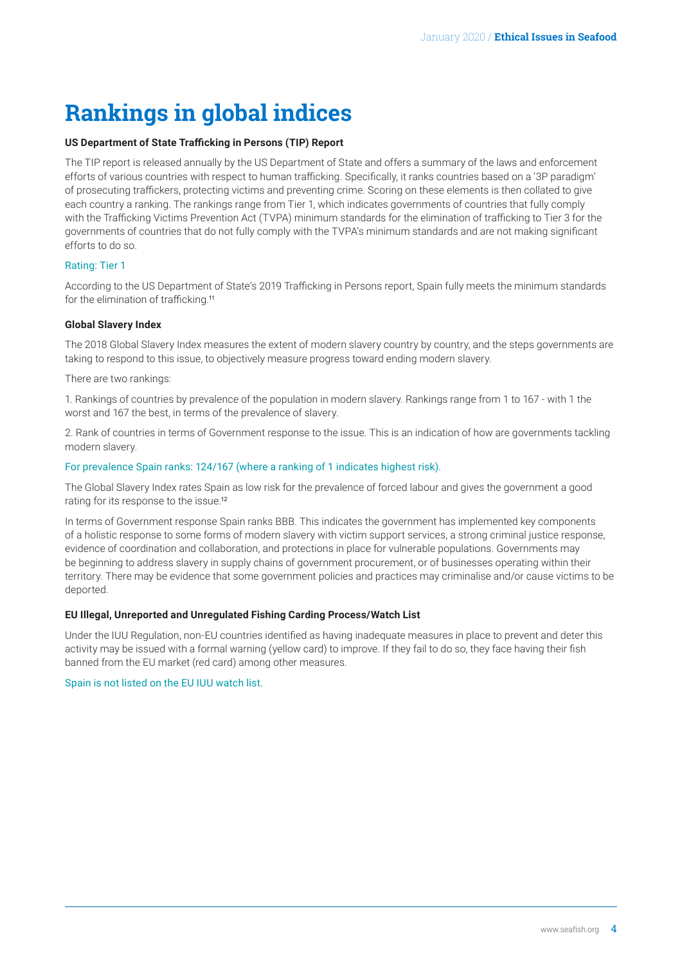## <span id="page-3-0"></span>**Rankings in global indices**

#### **US Department of State Trafficking in Persons (TIP) Report**

The TIP report is released annually by the US Department of State and offers a summary of the laws and enforcement efforts of various countries with respect to human trafficking. Specifically, it ranks countries based on a '3P paradigm' of prosecuting traffickers, protecting victims and preventing crime. Scoring on these elements is then collated to give each country a ranking. The rankings range from Tier 1, which indicates governments of countries that fully comply with the Trafficking Victims Prevention Act (TVPA) minimum standards for the elimination of trafficking to Tier 3 for the governments of countries that do not fully comply with the TVPA's minimum standards and are not making significant efforts to do so.

#### Rating: Tier 1

According to the US Department of State's 2019 Trafficking in Persons report, Spain fully meets the minimum standards for the elimination of trafficking.[11](#page-4-0)

#### **Global Slavery Index**

The 2018 Global Slavery Index measures the extent of modern slavery country by country, and the steps governments are taking to respond to this issue, to objectively measure progress toward ending modern slavery.

There are two rankings:

1. Rankings of countries by prevalence of the population in modern slavery. Rankings range from 1 to 167 - with 1 the worst and 167 the best, in terms of the prevalence of slavery.

2. Rank of countries in terms of Government response to the issue. This is an indication of how are governments tackling modern slavery.

#### For prevalence Spain ranks: 124/167 (where a ranking of 1 indicates highest risk).

The Global Slavery Index rates Spain as low risk for the prevalence of forced labour and gives the government a good rating for its response to the issue.[12](#page-4-0)

In terms of Government response Spain ranks BBB. This indicates the government has implemented key components of a holistic response to some forms of modern slavery with victim support services, a strong criminal justice response, evidence of coordination and collaboration, and protections in place for vulnerable populations. Governments may be beginning to address slavery in supply chains of government procurement, or of businesses operating within their territory. There may be evidence that some government policies and practices may criminalise and/or cause victims to be deported.

#### **EU Illegal, Unreported and Unregulated Fishing Carding Process/Watch List**

Under the IUU Regulation, non-EU countries identified as having inadequate measures in place to prevent and deter this activity may be issued with a formal warning (yellow card) to improve. If they fail to do so, they face having their fish banned from the EU market (red card) among other measures.

#### Spain is not listed on the EU IUU watch list.